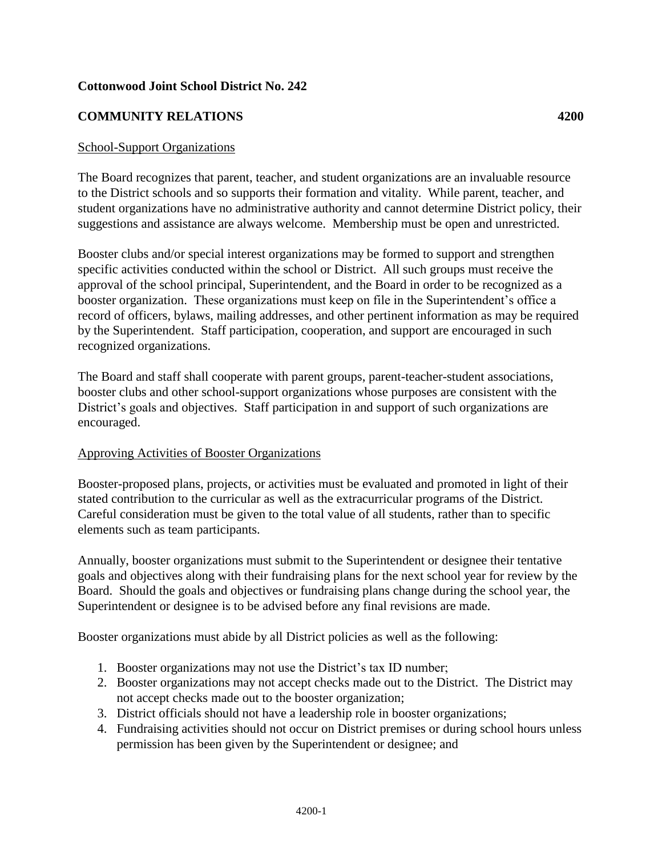## **Cottonwood Joint School District No. 242**

# **COMMUNITY RELATIONS 4200**

#### School-Support Organizations

The Board recognizes that parent, teacher, and student organizations are an invaluable resource to the District schools and so supports their formation and vitality. While parent, teacher, and student organizations have no administrative authority and cannot determine District policy, their suggestions and assistance are always welcome. Membership must be open and unrestricted.

Booster clubs and/or special interest organizations may be formed to support and strengthen specific activities conducted within the school or District. All such groups must receive the approval of the school principal, Superintendent, and the Board in order to be recognized as a booster organization. These organizations must keep on file in the Superintendent's office a record of officers, bylaws, mailing addresses, and other pertinent information as may be required by the Superintendent. Staff participation, cooperation, and support are encouraged in such recognized organizations.

The Board and staff shall cooperate with parent groups, parent-teacher-student associations, booster clubs and other school-support organizations whose purposes are consistent with the District's goals and objectives. Staff participation in and support of such organizations are encouraged.

#### Approving Activities of Booster Organizations

Booster-proposed plans, projects, or activities must be evaluated and promoted in light of their stated contribution to the curricular as well as the extracurricular programs of the District. Careful consideration must be given to the total value of all students, rather than to specific elements such as team participants.

Annually, booster organizations must submit to the Superintendent or designee their tentative goals and objectives along with their fundraising plans for the next school year for review by the Board. Should the goals and objectives or fundraising plans change during the school year, the Superintendent or designee is to be advised before any final revisions are made.

Booster organizations must abide by all District policies as well as the following:

- 1. Booster organizations may not use the District's tax ID number;
- 2. Booster organizations may not accept checks made out to the District. The District may not accept checks made out to the booster organization;
- 3. District officials should not have a leadership role in booster organizations;
- 4. Fundraising activities should not occur on District premises or during school hours unless permission has been given by the Superintendent or designee; and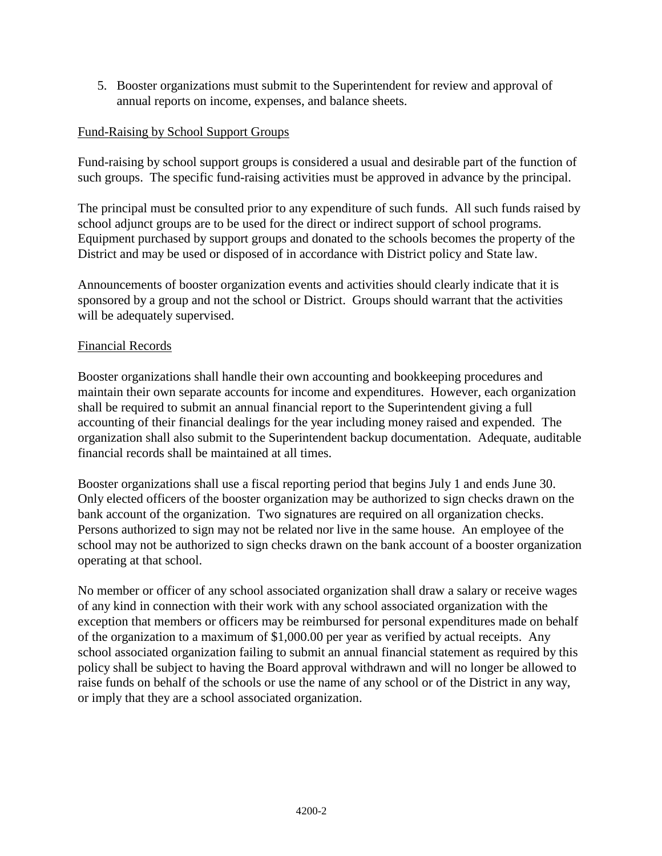5. Booster organizations must submit to the Superintendent for review and approval of annual reports on income, expenses, and balance sheets.

# Fund-Raising by School Support Groups

Fund-raising by school support groups is considered a usual and desirable part of the function of such groups. The specific fund-raising activities must be approved in advance by the principal.

The principal must be consulted prior to any expenditure of such funds. All such funds raised by school adjunct groups are to be used for the direct or indirect support of school programs. Equipment purchased by support groups and donated to the schools becomes the property of the District and may be used or disposed of in accordance with District policy and State law.

Announcements of booster organization events and activities should clearly indicate that it is sponsored by a group and not the school or District. Groups should warrant that the activities will be adequately supervised.

# Financial Records

Booster organizations shall handle their own accounting and bookkeeping procedures and maintain their own separate accounts for income and expenditures. However, each organization shall be required to submit an annual financial report to the Superintendent giving a full accounting of their financial dealings for the year including money raised and expended. The organization shall also submit to the Superintendent backup documentation. Adequate, auditable financial records shall be maintained at all times.

Booster organizations shall use a fiscal reporting period that begins July 1 and ends June 30. Only elected officers of the booster organization may be authorized to sign checks drawn on the bank account of the organization. Two signatures are required on all organization checks. Persons authorized to sign may not be related nor live in the same house. An employee of the school may not be authorized to sign checks drawn on the bank account of a booster organization operating at that school.

No member or officer of any school associated organization shall draw a salary or receive wages of any kind in connection with their work with any school associated organization with the exception that members or officers may be reimbursed for personal expenditures made on behalf of the organization to a maximum of \$1,000.00 per year as verified by actual receipts. Any school associated organization failing to submit an annual financial statement as required by this policy shall be subject to having the Board approval withdrawn and will no longer be allowed to raise funds on behalf of the schools or use the name of any school or of the District in any way, or imply that they are a school associated organization.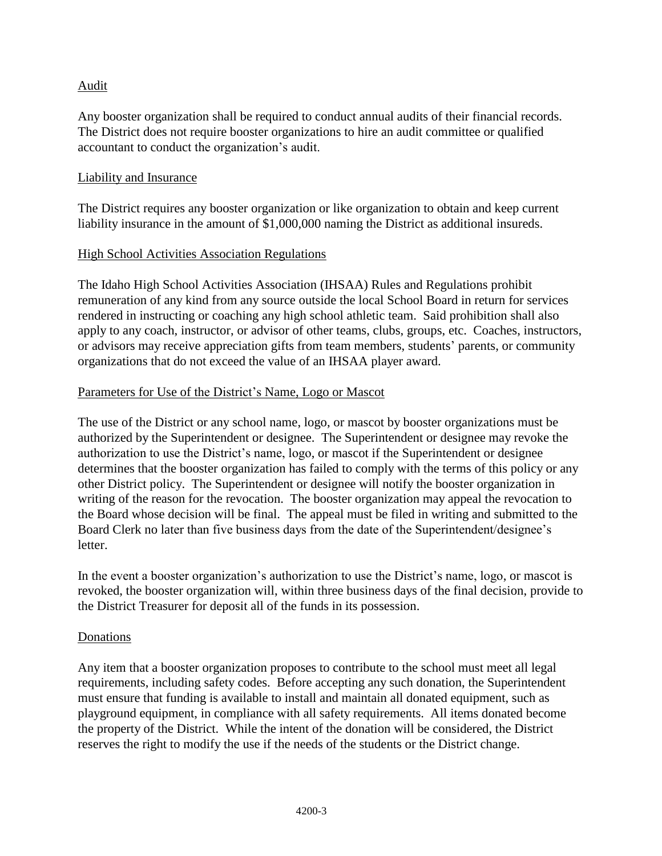# Audit

Any booster organization shall be required to conduct annual audits of their financial records. The District does not require booster organizations to hire an audit committee or qualified accountant to conduct the organization's audit.

#### Liability and Insurance

The District requires any booster organization or like organization to obtain and keep current liability insurance in the amount of \$1,000,000 naming the District as additional insureds.

#### High School Activities Association Regulations

The Idaho High School Activities Association (IHSAA) Rules and Regulations prohibit remuneration of any kind from any source outside the local School Board in return for services rendered in instructing or coaching any high school athletic team. Said prohibition shall also apply to any coach, instructor, or advisor of other teams, clubs, groups, etc. Coaches, instructors, or advisors may receive appreciation gifts from team members, students' parents, or community organizations that do not exceed the value of an IHSAA player award.

#### Parameters for Use of the District's Name, Logo or Mascot

The use of the District or any school name, logo, or mascot by booster organizations must be authorized by the Superintendent or designee. The Superintendent or designee may revoke the authorization to use the District's name, logo, or mascot if the Superintendent or designee determines that the booster organization has failed to comply with the terms of this policy or any other District policy. The Superintendent or designee will notify the booster organization in writing of the reason for the revocation. The booster organization may appeal the revocation to the Board whose decision will be final. The appeal must be filed in writing and submitted to the Board Clerk no later than five business days from the date of the Superintendent/designee's letter.

In the event a booster organization's authorization to use the District's name, logo, or mascot is revoked, the booster organization will, within three business days of the final decision, provide to the District Treasurer for deposit all of the funds in its possession.

#### Donations

Any item that a booster organization proposes to contribute to the school must meet all legal requirements, including safety codes. Before accepting any such donation, the Superintendent must ensure that funding is available to install and maintain all donated equipment, such as playground equipment, in compliance with all safety requirements. All items donated become the property of the District. While the intent of the donation will be considered, the District reserves the right to modify the use if the needs of the students or the District change.